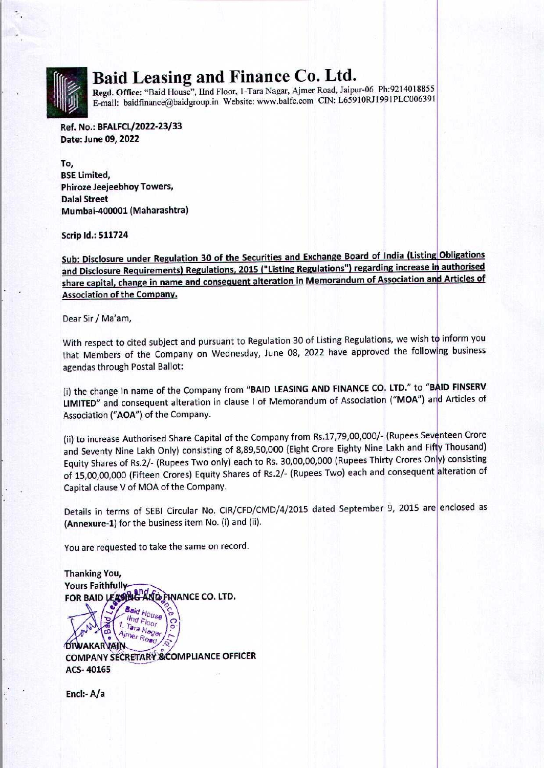

## Baid Leasing and Finance Co. Ltd.

Regd. Office: "Baid House", IInd Floor, 1-Tara Nagar, Ajmer Road, Jaipur-06 Ph:9214018855 E-mail: baidfinance@baidgroup.in Website: www.balfc.com CIN: L65910RJ1991PLC006391

Ref. No.: BFALFCL/2022-23/33 Date: June 09, 2022

To, BSE Limited, Phiroze Jeejeebhoy Towers, Dalal Street Mumbai-400001 (Maharashtra)

Scrip Id.: 511724

Sub: Disclosure under Regulation 30 of the Securities and Exchange Board of India (Listing Obligations and Disclosure Requirements) Regulations, 2015 ("Listing Regulations") regarding increase in authorised Io,<br>BSE Limited,<br>Phiroze leejeebhoy Towers,<br>Dalal Street<br>Mumbai-400001 (Maharashtra)<br>Scrip Id.: 511724<br>Sub: Disclosure under Regulation 30 of the Securities and Exchange Board of India (Listing<br>and Disclosure Requirements) share capital, change in name and consequent alteration in Memorandum of Association and Articles of Association of the Company.

Dear Sir / Ma'am,

With respect to cited subject and pursuant to Regulation 30 of Listing Regulations, we wish to inform you that Members of the Company on Wednesday, June 08, 2022 have approved the following business agendas through Postal Ballot:

(i) the change in name of the Company from "BAID LEASING AND FINANCE CO. LTD." to "BAID FINSERV LIMITED" and consequent alteration in clause I of Memorandum of Association ("MOA") and Articles of Association ("AOA") of the Company.

(ii) to increase Authorised Share Capital of the Company from Rs.17,79,00,000/- (Rupees Seventeen Crore and Seventy Nine Lakh Only) consisting of 8,89,50,000 (Eight Crore Eighty Nine Lakh and Fifty Thousand) Equity Shares of Rs.2/- (Rupees Two only) each to Rs. 30,00,00,000 (Rupees Thirty Crores Only) consisting of 15,00,00,000 (Fifteen Crores) Equity Shares of Rs.2/- (Rupees Two) each and consequent alteration of Capital clause V of MOA of the Company.

Details in terms of SEBI Circular No. CIR/CFD/CMD/4/2015 dated September 9, 2015 are enclosed as (Annexure-1) for the business item No. (i) and (ii).

You are requested to take the same on record.

Thanking You, **Yours Faithfully** FOR BAID LEASING A  $\sigma$ **ON SE. Afmer Nager (SP)**<br> **DIWAKARVAIN**<br> **COMPANY SECRETARY & COMPLIANCE OFFICER** ACS- 40165

Encl:- A/a

HARRY SERVICE WAS LIKELY